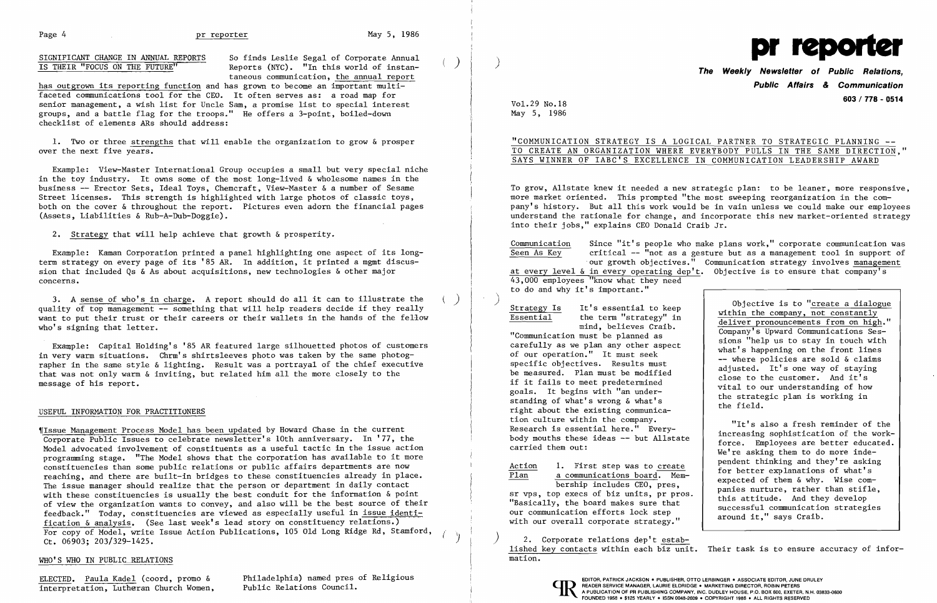## Page 4 and 1986 pr reporter metal may 5, 1986

SIGNIFICANT CHANGE IN ANNUAL REPORTS So finds Leslie Segal of Corporate Annual 1S THEIR "FOCUS ON THE FUTURE" Reports (NYC). "In this world of instantaneous communication, the annual report

has outgrown its reporting function and has grown to become an important multifaceted communications tool for the CEO. It often serves as: a road map for senior management, a wish list for Uncle Sam, a promise list to special interest groups, and a battle flag for the troops." He offers a 3-point, boiled-down checklist of elements ARs should address:

1. Two or three strengths that will enable the organization to grow & prosper over the next five years.

Example: View-Master International Group occupies a small but very special niche in the toy industry. It owns some of the most long-lived & wholesome names in the business -- Erector Sets, Ideal Toys, Chemcraft, View-Master & a number of Sesame Street licenses. This strength is highlighted with large photos of classic toys, both on the cover & throughout the report. Pictures even adorn the financial pages (Assets, Liabilities & Rub-A-Dub-Doggie).

'[Issue Management Process Model has been updated by Howard Chase in the current Corporate Public Issues to celebrate newsletter's 10th anniversary. In '77, the Model advocated involvement of constituents as a useful tactic in the issue action programming stage. "The Model shows that the corporation has available to it more constituencies than some public relations or public affairs departments are now reaching, and there are built-in bridges to these constituencies already in place. The issue manager should realize that the person or department in daily contact with these constituencies is usually the best conduit for the information & point of view the organization wants to convey, and also will be the best source of their feedback." Today, constituencies are viewed as especially useful in issue identification & analysis. (See last week's lead story on constituency relations.) For copy of Model, write Issue Action Publications, 105 Old Long Ridge Rd, Stamford, Ct. 06903; 203/329-1425.

### WHO'S WHO IN PUBLIC RELATIONS

ELECTED. Paula Kadel (coord, promo & Philadelphia) named pres of Religious (EDITOR, PATRICK JACKSON. PUBLISHER, OTTO LERBINGER. ASSOCIATE EDITOR, JUNE DRULEY

2. Strategy that will help achieve that growth & prosperity.

Example: Kaman Corporation printed a panel highlighting one aspect of its longterm strategy on every page of its '85 AR. In addition, it printed a mgmt discussion that included Qs & As about acquisitions, new technologies & other major concerns.

3. A sense of who's in charge. A report should do all it can to illustrate the ) quality of top management -- something that will help readers decide if they really want to put their trust or their careers or their wallets in the hands of the fellow who's signing that letter.

Example: Capital Holding's '85 AR featured large silhouetted photos of customers in very warm situations. Chrm's shirtsleeves photo was taken by the same photographer in the same style & lighting. Result was a portrayal of the chief executive that was not only warm & inviting, but related him all the more closely to the message of his report.

### USEFUL INFORMATION FOR PRACTITIONERS

Strategy Is It's essential to keep<br>Essential the term "strategy" in the term "strategy" in mind, believes Craib.

Action 1. First step was to create<br>Plan a communications board. Mema communications board. Membership includes CEO, pres,

Vol. 29 No.18 May 5, 1986

 $\left( \right)$ 



## **The Weekly Newsletter of Public Relations, Public Affairs** *&* **Communication 603/778 - 0514**

"COMMUNICATION STRATEGY IS A LOGICAL PARTNER TO STRATEGIC PLANNING - TO CREATE AN ORGANIZATION WHERE EVERYBODY PULLS IN THE SAME DIRECTION," SAYS WINNER OF IABC'S EXCELLENCE IN COMMUNICATION LEADERSHIP AWARD

To grow, Allstate knew it needed a new strategic plan: to be leaner, more responsive, more market oriented. This prompted "the most sweeping reorganization in the company's history. But all this work would be in vain unless we could make our employees understand the rationale for change, and incorporate this new market-oriented strategy into their jobs," explains CEO Donald Craib Jr.

 $\frac{\text{Commutation}}{\text{Seen As Key}}$  Since "it's people who make plans work," corporate communication was  $critical$  -- "not as a gesture but as a management tool in support of 'our growth objectives." Communication strategy involves management at every level & in every operating dep't. Objective is to ensure that company's

43,000 employees "know what they need to do and why it's important."

"Communication must be planned as carefully as we plan any other aspect of our operation." It must seek specific objectives. Results must be measured. Plan must be modified if it fails to meet predetermined goals. It begins with "an understanding of what's wrong & what's right about the existing communication culture within the company. Research is essential here." Everybody mouths these ideas -- but Allstate carried them out:

sr vps, top execs of biz units, pr pros. "Basically, the board makes sure that our communication efforts lock step with our overall corporate strategy."

) 2. Corporate relations dep't established key contacts within each biz unit. Their task is to ensure accuracy of information.

Objective is to "create a dialogue within the company, not constantly deliver pronouncements from on high." Company's Upward Communications Sessions "help us to stay in touch with what's happening on the front lines -- where policies are sold & claims adjusted. It's one way of staying close to the customer. And it's vital to our understanding of how the strategic plan is working in the field.

"It's also a fresh reminder of the increasing sophistication of the workforce. Employees are better educated. We're asking them to do more independent thinking and they're asking for better explanations of what's expected of them  $\&$  why. Wise companies nurture, rather than stifle, this attitude. And they develop successful communication strategies around it," says Craib.